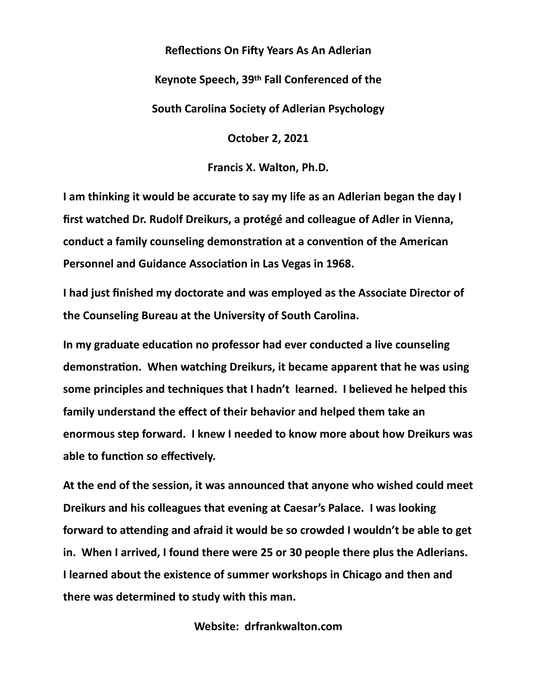## **Reflections On Fifty Years As An Adlerian**

**Keynote Speech, 39th Fall Conferenced of the** 

**South Carolina Society of Adlerian Psychology**

**October 2, 2021**

**Francis X. Walton, Ph.D.**

**I am thinking it would be accurate to say my life as an Adlerian began the day I first watched Dr. Rudolf Dreikurs, a protégé and colleague of Adler in Vienna, conduct a family counseling demonstration at a convention of the American Personnel and Guidance Association in Las Vegas in 1968.**

**I had just finished my doctorate and was employed as the Associate Director of the Counseling Bureau at the University of South Carolina.**

**In my graduate education no professor had ever conducted a live counseling demonstration. When watching Dreikurs, it became apparent that he was using some principles and techniques that I hadn't learned. I believed he helped this family understand the effect of their behavior and helped them take an enormous step forward. I knew I needed to know more about how Dreikurs was able to function so effectively.**

**At the end of the session, it was announced that anyone who wished could meet Dreikurs and his colleagues that evening at Caesar's Palace. I was looking forward to attending and afraid it would be so crowded I wouldn't be able to get in. When I arrived, I found there were 25 or 30 people there plus the Adlerians. I learned about the existence of summer workshops in Chicago and then and there was determined to study with this man.**

**Website: drfrankwalton.com**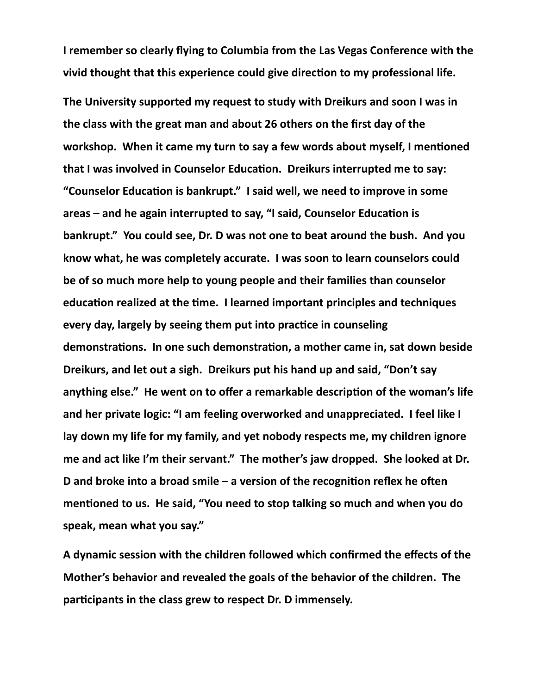**I remember so clearly flying to Columbia from the Las Vegas Conference with the vivid thought that this experience could give direction to my professional life.**

**The University supported my request to study with Dreikurs and soon I was in the class with the great man and about 26 others on the first day of the workshop. When it came my turn to say a few words about myself, I mentioned that I was involved in Counselor Education. Dreikurs interrupted me to say: "Counselor Education is bankrupt." I said well, we need to improve in some areas – and he again interrupted to say, "I said, Counselor Education is bankrupt." You could see, Dr. D was not one to beat around the bush. And you know what, he was completely accurate. I was soon to learn counselors could be of so much more help to young people and their families than counselor education realized at the time. I learned important principles and techniques every day, largely by seeing them put into practice in counseling demonstrations. In one such demonstration, a mother came in, sat down beside Dreikurs, and let out a sigh. Dreikurs put his hand up and said, "Don't say anything else." He went on to offer a remarkable description of the woman's life and her private logic: "I am feeling overworked and unappreciated. I feel like I lay down my life for my family, and yet nobody respects me, my children ignore me and act like I'm their servant." The mother's jaw dropped. She looked at Dr. D and broke into a broad smile – a version of the recognition reflex he often mentioned to us. He said, "You need to stop talking so much and when you do speak, mean what you say."**

**A dynamic session with the children followed which confirmed the effects of the Mother's behavior and revealed the goals of the behavior of the children. The participants in the class grew to respect Dr. D immensely.**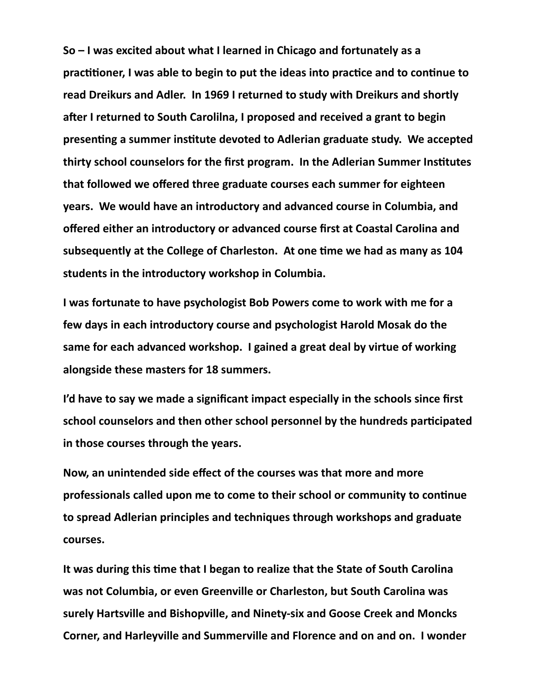**So – I was excited about what I learned in Chicago and fortunately as a practitioner, I was able to begin to put the ideas into practice and to continue to read Dreikurs and Adler. In 1969 I returned to study with Dreikurs and shortly after I returned to South Carolilna, I proposed and received a grant to begin presenting a summer institute devoted to Adlerian graduate study. We accepted thirty school counselors for the first program. In the Adlerian Summer Institutes that followed we offered three graduate courses each summer for eighteen years. We would have an introductory and advanced course in Columbia, and offered either an introductory or advanced course first at Coastal Carolina and subsequently at the College of Charleston. At one time we had as many as 104 students in the introductory workshop in Columbia.**

**I was fortunate to have psychologist Bob Powers come to work with me for a few days in each introductory course and psychologist Harold Mosak do the same for each advanced workshop. I gained a great deal by virtue of working alongside these masters for 18 summers.**

**I'd have to say we made a significant impact especially in the schools since first school counselors and then other school personnel by the hundreds participated in those courses through the years.**

**Now, an unintended side effect of the courses was that more and more professionals called upon me to come to their school or community to continue to spread Adlerian principles and techniques through workshops and graduate courses.**

**It was during this time that I began to realize that the State of South Carolina was not Columbia, or even Greenville or Charleston, but South Carolina was surely Hartsville and Bishopville, and Ninety-six and Goose Creek and Moncks Corner, and Harleyville and Summerville and Florence and on and on. I wonder**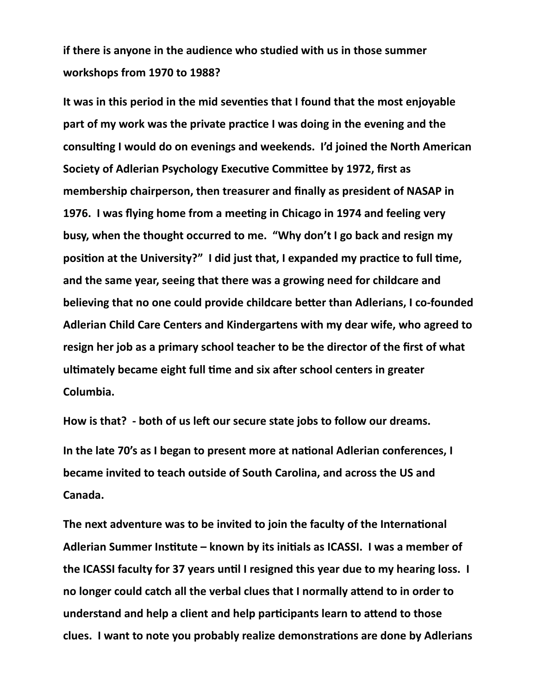**if there is anyone in the audience who studied with us in those summer workshops from 1970 to 1988?**

**It was in this period in the mid seventies that I found that the most enjoyable part of my work was the private practice I was doing in the evening and the consulting I would do on evenings and weekends. I'd joined the North American Society of Adlerian Psychology Executive Committee by 1972, first as membership chairperson, then treasurer and finally as president of NASAP in 1976. I was flying home from a meeting in Chicago in 1974 and feeling very busy, when the thought occurred to me. "Why don't I go back and resign my position at the University?" I did just that, I expanded my practice to full time, and the same year, seeing that there was a growing need for childcare and believing that no one could provide childcare better than Adlerians, I co-founded Adlerian Child Care Centers and Kindergartens with my dear wife, who agreed to resign her job as a primary school teacher to be the director of the first of what ultimately became eight full time and six after school centers in greater Columbia.**

**How is that? - both of us left our secure state jobs to follow our dreams. In the late 70's as I began to present more at national Adlerian conferences, I became invited to teach outside of South Carolina, and across the US and Canada.**

**The next adventure was to be invited to join the faculty of the International Adlerian Summer Institute – known by its initials as ICASSI. I was a member of the ICASSI faculty for 37 years until I resigned this year due to my hearing loss. I no longer could catch all the verbal clues that I normally attend to in order to understand and help a client and help participants learn to attend to those clues. I want to note you probably realize demonstrations are done by Adlerians**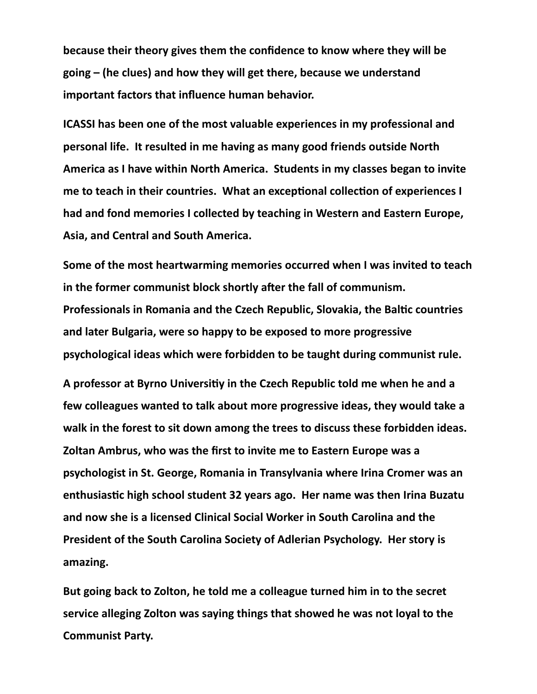**because their theory gives them the confidence to know where they will be going – (he clues) and how they will get there, because we understand important factors that influence human behavior.**

**ICASSI has been one of the most valuable experiences in my professional and personal life. It resulted in me having as many good friends outside North America as I have within North America. Students in my classes began to invite me to teach in their countries. What an exceptional collection of experiences I had and fond memories I collected by teaching in Western and Eastern Europe, Asia, and Central and South America.**

**Some of the most heartwarming memories occurred when I was invited to teach in the former communist block shortly after the fall of communism. Professionals in Romania and the Czech Republic, Slovakia, the Baltic countries and later Bulgaria, were so happy to be exposed to more progressive psychological ideas which were forbidden to be taught during communist rule.**

**A professor at Byrno Universitiy in the Czech Republic told me when he and a few colleagues wanted to talk about more progressive ideas, they would take a walk in the forest to sit down among the trees to discuss these forbidden ideas. Zoltan Ambrus, who was the first to invite me to Eastern Europe was a psychologist in St. George, Romania in Transylvania where Irina Cromer was an enthusiastic high school student 32 years ago. Her name was then Irina Buzatu and now she is a licensed Clinical Social Worker in South Carolina and the President of the South Carolina Society of Adlerian Psychology. Her story is amazing.**

**But going back to Zolton, he told me a colleague turned him in to the secret service alleging Zolton was saying things that showed he was not loyal to the Communist Party.**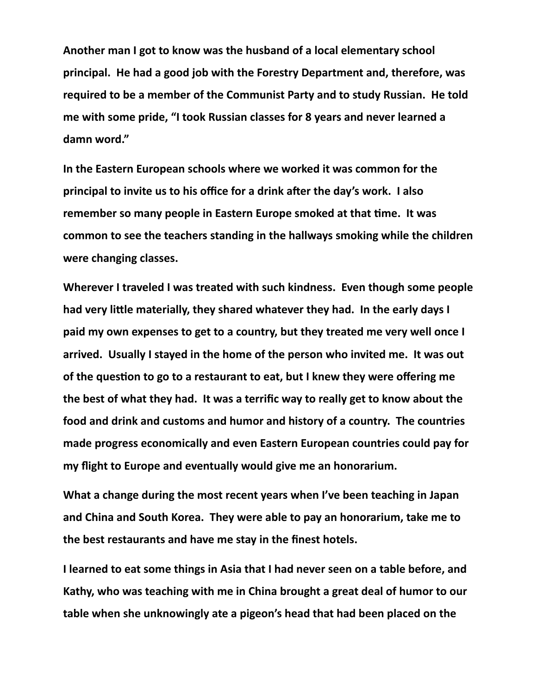**Another man I got to know was the husband of a local elementary school principal. He had a good job with the Forestry Department and, therefore, was required to be a member of the Communist Party and to study Russian. He told me with some pride, "I took Russian classes for 8 years and never learned a damn word."**

**In the Eastern European schools where we worked it was common for the principal to invite us to his office for a drink after the day's work. I also remember so many people in Eastern Europe smoked at that time. It was common to see the teachers standing in the hallways smoking while the children were changing classes.**

**Wherever I traveled I was treated with such kindness. Even though some people had very little materially, they shared whatever they had. In the early days I paid my own expenses to get to a country, but they treated me very well once I arrived. Usually I stayed in the home of the person who invited me. It was out of the question to go to a restaurant to eat, but I knew they were offering me the best of what they had. It was a terrific way to really get to know about the food and drink and customs and humor and history of a country. The countries made progress economically and even Eastern European countries could pay for my flight to Europe and eventually would give me an honorarium.**

**What a change during the most recent years when I've been teaching in Japan and China and South Korea. They were able to pay an honorarium, take me to the best restaurants and have me stay in the finest hotels.**

**I learned to eat some things in Asia that I had never seen on a table before, and Kathy, who was teaching with me in China brought a great deal of humor to our table when she unknowingly ate a pigeon's head that had been placed on the**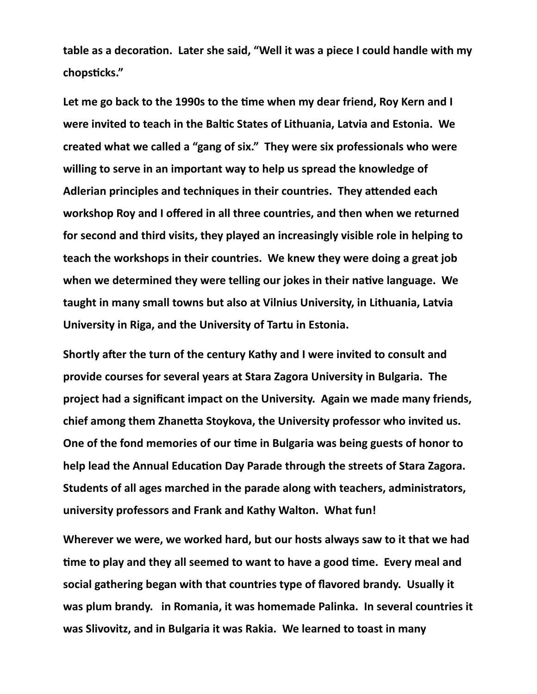**table as a decoration. Later she said, "Well it was a piece I could handle with my chopsticks."**

**Let me go back to the 1990s to the time when my dear friend, Roy Kern and I were invited to teach in the Baltic States of Lithuania, Latvia and Estonia. We created what we called a "gang of six." They were six professionals who were willing to serve in an important way to help us spread the knowledge of Adlerian principles and techniques in their countries. They attended each workshop Roy and I offered in all three countries, and then when we returned for second and third visits, they played an increasingly visible role in helping to teach the workshops in their countries. We knew they were doing a great job when we determined they were telling our jokes in their native language. We taught in many small towns but also at Vilnius University, in Lithuania, Latvia University in Riga, and the University of Tartu in Estonia.** 

**Shortly after the turn of the century Kathy and I were invited to consult and provide courses for several years at Stara Zagora University in Bulgaria. The project had a significant impact on the University. Again we made many friends, chief among them Zhanetta Stoykova, the University professor who invited us. One of the fond memories of our time in Bulgaria was being guests of honor to help lead the Annual Education Day Parade through the streets of Stara Zagora. Students of all ages marched in the parade along with teachers, administrators, university professors and Frank and Kathy Walton. What fun!**

**Wherever we were, we worked hard, but our hosts always saw to it that we had time to play and they all seemed to want to have a good time. Every meal and social gathering began with that countries type of flavored brandy. Usually it was plum brandy. in Romania, it was homemade Palinka. In several countries it was Slivovitz, and in Bulgaria it was Rakia. We learned to toast in many**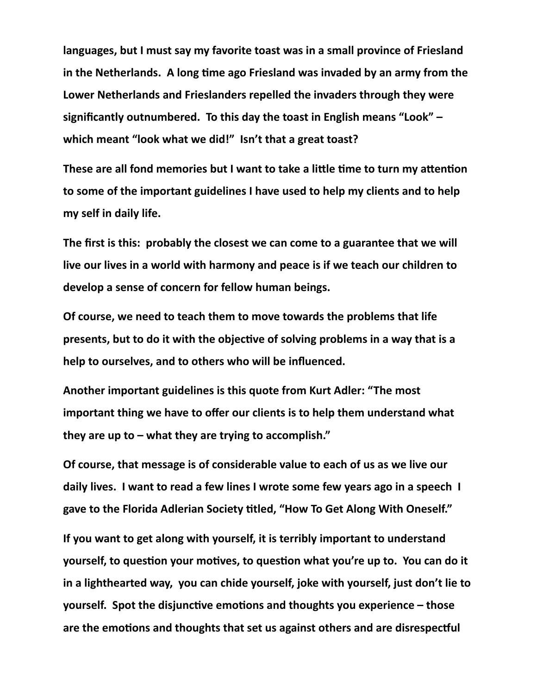**languages, but I must say my favorite toast was in a small province of Friesland in the Netherlands. A long time ago Friesland was invaded by an army from the Lower Netherlands and Frieslanders repelled the invaders through they were significantly outnumbered. To this day the toast in English means "Look" – which meant "look what we did!" Isn't that a great toast?** 

**These are all fond memories but I want to take a little time to turn my attention to some of the important guidelines I have used to help my clients and to help my self in daily life.**

**The first is this: probably the closest we can come to a guarantee that we will live our lives in a world with harmony and peace is if we teach our children to develop a sense of concern for fellow human beings.**

**Of course, we need to teach them to move towards the problems that life presents, but to do it with the objective of solving problems in a way that is a help to ourselves, and to others who will be influenced.**

**Another important guidelines is this quote from Kurt Adler: "The most important thing we have to offer our clients is to help them understand what they are up to – what they are trying to accomplish."**

**Of course, that message is of considerable value to each of us as we live our daily lives. I want to read a few lines I wrote some few years ago in a speech I gave to the Florida Adlerian Society titled, "How To Get Along With Oneself."**

**If you want to get along with yourself, it is terribly important to understand yourself, to question your motives, to question what you're up to. You can do it in a lighthearted way, you can chide yourself, joke with yourself, just don't lie to yourself. Spot the disjunctive emotions and thoughts you experience – those are the emotions and thoughts that set us against others and are disrespectful**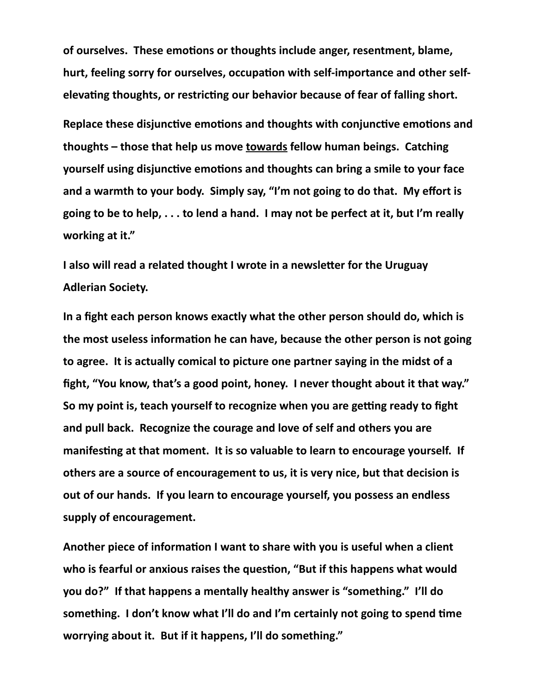**of ourselves. These emotions or thoughts include anger, resentment, blame, hurt, feeling sorry for ourselves, occupation with self-importance and other selfelevating thoughts, or restricting our behavior because of fear of falling short.**

**Replace these disjunctive emotions and thoughts with conjunctive emotions and thoughts – those that help us move towards fellow human beings. Catching yourself using disjunctive emotions and thoughts can bring a smile to your face and a warmth to your body. Simply say, "I'm not going to do that. My effort is going to be to help, . . . to lend a hand. I may not be perfect at it, but I'm really working at it."**

**I also will read a related thought I wrote in a newsletter for the Uruguay Adlerian Society.** 

**In a fight each person knows exactly what the other person should do, which is the most useless information he can have, because the other person is not going to agree. It is actually comical to picture one partner saying in the midst of a fight, "You know, that's a good point, honey. I never thought about it that way." So my point is, teach yourself to recognize when you are getting ready to fight and pull back. Recognize the courage and love of self and others you are manifesting at that moment. It is so valuable to learn to encourage yourself. If others are a source of encouragement to us, it is very nice, but that decision is out of our hands. If you learn to encourage yourself, you possess an endless supply of encouragement.**

**Another piece of information I want to share with you is useful when a client who is fearful or anxious raises the question, "But if this happens what would you do?" If that happens a mentally healthy answer is "something." I'll do something. I don't know what I'll do and I'm certainly not going to spend time worrying about it. But if it happens, I'll do something."**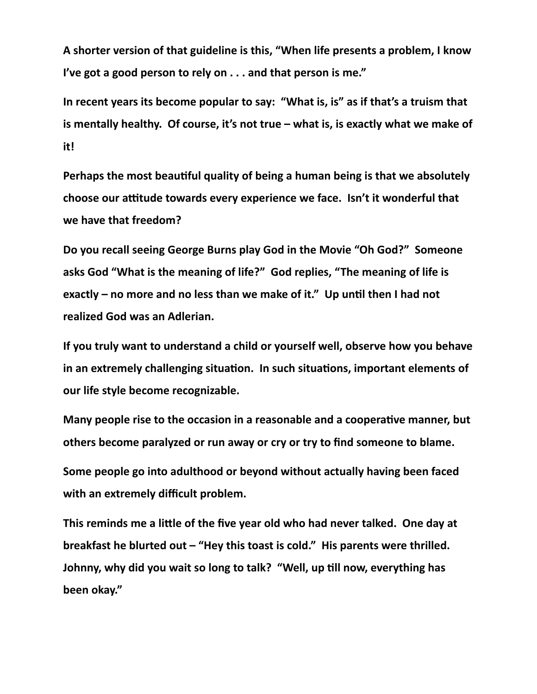**A shorter version of that guideline is this, "When life presents a problem, I know I've got a good person to rely on . . . and that person is me."**

**In recent years its become popular to say: "What is, is" as if that's a truism that is mentally healthy. Of course, it's not true – what is, is exactly what we make of it!**

**Perhaps the most beautiful quality of being a human being is that we absolutely choose our attitude towards every experience we face. Isn't it wonderful that we have that freedom?**

**Do you recall seeing George Burns play God in the Movie "Oh God?" Someone asks God "What is the meaning of life?" God replies, "The meaning of life is exactly – no more and no less than we make of it." Up until then I had not realized God was an Adlerian.**

**If you truly want to understand a child or yourself well, observe how you behave in an extremely challenging situation. In such situations, important elements of our life style become recognizable.** 

**Many people rise to the occasion in a reasonable and a cooperative manner, but others become paralyzed or run away or cry or try to find someone to blame.**

**Some people go into adulthood or beyond without actually having been faced with an extremely difficult problem.**

**This reminds me a little of the five year old who had never talked. One day at breakfast he blurted out – "Hey this toast is cold." His parents were thrilled. Johnny, why did you wait so long to talk? "Well, up till now, everything has been okay."**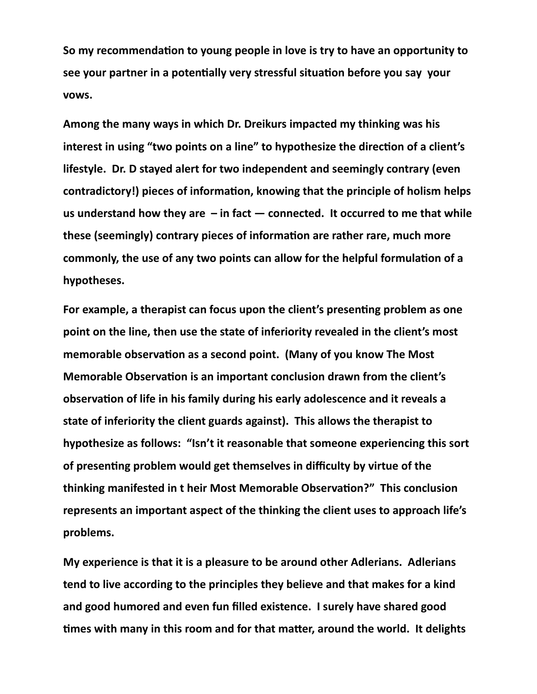**So my recommendation to young people in love is try to have an opportunity to see your partner in a potentially very stressful situation before you say your vows.**

**Among the many ways in which Dr. Dreikurs impacted my thinking was his interest in using "two points on a line" to hypothesize the direction of a client's lifestyle. Dr. D stayed alert for two independent and seemingly contrary (even contradictory!) pieces of information, knowing that the principle of holism helps us understand how they are – in fact — connected. It occurred to me that while these (seemingly) contrary pieces of information are rather rare, much more commonly, the use of any two points can allow for the helpful formulation of a hypotheses.**

**For example, a therapist can focus upon the client's presenting problem as one point on the line, then use the state of inferiority revealed in the client's most memorable observation as a second point. (Many of you know The Most Memorable Observation is an important conclusion drawn from the client's observation of life in his family during his early adolescence and it reveals a state of inferiority the client guards against). This allows the therapist to hypothesize as follows: "Isn't it reasonable that someone experiencing this sort of presenting problem would get themselves in difficulty by virtue of the thinking manifested in t heir Most Memorable Observation?" This conclusion represents an important aspect of the thinking the client uses to approach life's problems.** 

**My experience is that it is a pleasure to be around other Adlerians. Adlerians tend to live according to the principles they believe and that makes for a kind and good humored and even fun filled existence. I surely have shared good times with many in this room and for that matter, around the world. It delights**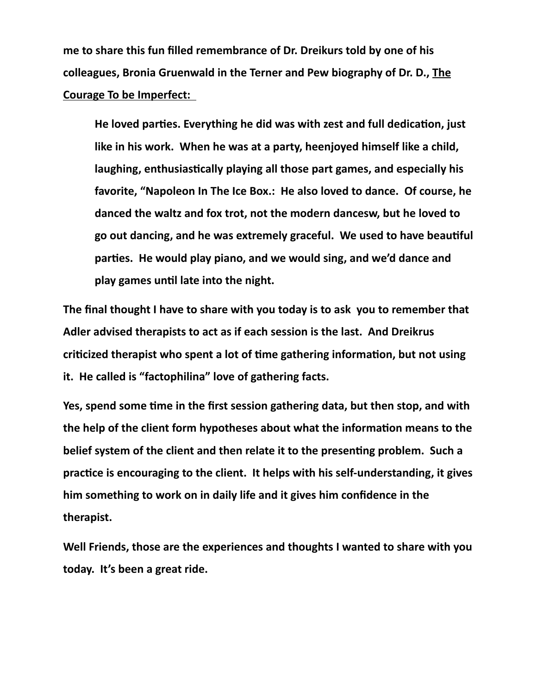**me to share this fun filled remembrance of Dr. Dreikurs told by one of his colleagues, Bronia Gruenwald in the Terner and Pew biography of Dr. D., The Courage To be Imperfect:** 

**He loved parties. Everything he did was with zest and full dedication, just like in his work. When he was at a party, heenjoyed himself like a child, laughing, enthusiastically playing all those part games, and especially his favorite, "Napoleon In The Ice Box.: He also loved to dance. Of course, he danced the waltz and fox trot, not the modern dancesw, but he loved to go out dancing, and he was extremely graceful. We used to have beautiful parties. He would play piano, and we would sing, and we'd dance and play games until late into the night.**

**The final thought I have to share with you today is to ask you to remember that Adler advised therapists to act as if each session is the last. And Dreikrus criticized therapist who spent a lot of time gathering information, but not using it. He called is "factophilina" love of gathering facts.**

**Yes, spend some time in the first session gathering data, but then stop, and with the help of the client form hypotheses about what the information means to the belief system of the client and then relate it to the presenting problem. Such a practice is encouraging to the client. It helps with his self-understanding, it gives him something to work on in daily life and it gives him confidence in the therapist.**

**Well Friends, those are the experiences and thoughts I wanted to share with you today. It's been a great ride.**